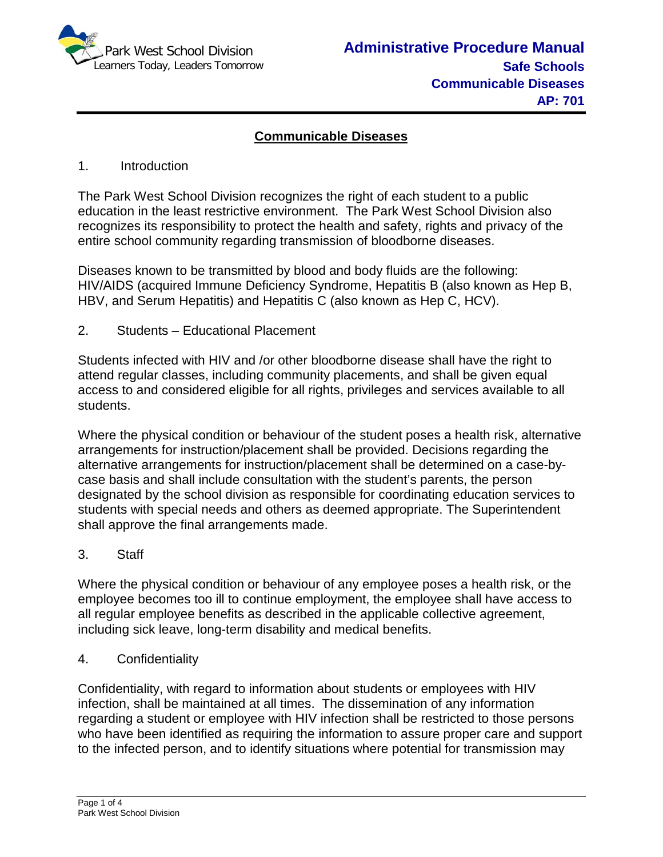

# **Communicable Diseases**

## 1. Introduction

The Park West School Division recognizes the right of each student to a public education in the least restrictive environment. The Park West School Division also recognizes its responsibility to protect the health and safety, rights and privacy of the entire school community regarding transmission of bloodborne diseases.

Diseases known to be transmitted by blood and body fluids are the following: HIV/AIDS (acquired Immune Deficiency Syndrome, Hepatitis B (also known as Hep B, HBV, and Serum Hepatitis) and Hepatitis C (also known as Hep C, HCV).

2. Students – Educational Placement

Students infected with HIV and /or other bloodborne disease shall have the right to attend regular classes, including community placements, and shall be given equal access to and considered eligible for all rights, privileges and services available to all students.

Where the physical condition or behaviour of the student poses a health risk, alternative arrangements for instruction/placement shall be provided. Decisions regarding the alternative arrangements for instruction/placement shall be determined on a case-bycase basis and shall include consultation with the student's parents, the person designated by the school division as responsible for coordinating education services to students with special needs and others as deemed appropriate. The Superintendent shall approve the final arrangements made.

3. Staff

Where the physical condition or behaviour of any employee poses a health risk, or the employee becomes too ill to continue employment, the employee shall have access to all regular employee benefits as described in the applicable collective agreement, including sick leave, long-term disability and medical benefits.

4. Confidentiality

Confidentiality, with regard to information about students or employees with HIV infection, shall be maintained at all times. The dissemination of any information regarding a student or employee with HIV infection shall be restricted to those persons who have been identified as requiring the information to assure proper care and support to the infected person, and to identify situations where potential for transmission may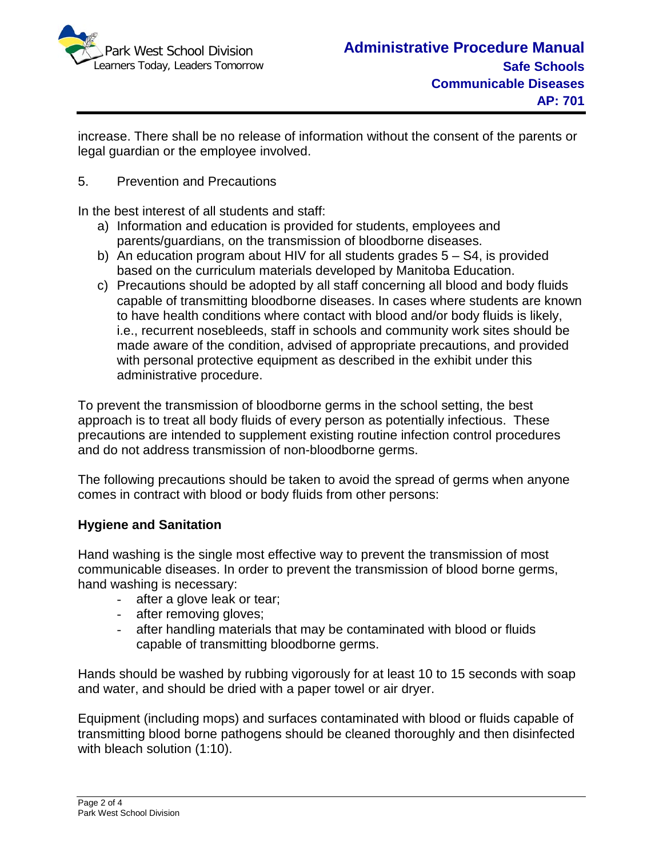

increase. There shall be no release of information without the consent of the parents or legal guardian or the employee involved.

5. Prevention and Precautions

In the best interest of all students and staff:

- a) Information and education is provided for students, employees and parents/guardians, on the transmission of bloodborne diseases.
- b) An education program about HIV for all students grades 5 S4, is provided based on the curriculum materials developed by Manitoba Education.
- c) Precautions should be adopted by all staff concerning all blood and body fluids capable of transmitting bloodborne diseases. In cases where students are known to have health conditions where contact with blood and/or body fluids is likely, i.e., recurrent nosebleeds, staff in schools and community work sites should be made aware of the condition, advised of appropriate precautions, and provided with personal protective equipment as described in the exhibit under this administrative procedure.

To prevent the transmission of bloodborne germs in the school setting, the best approach is to treat all body fluids of every person as potentially infectious. These precautions are intended to supplement existing routine infection control procedures and do not address transmission of non-bloodborne germs.

The following precautions should be taken to avoid the spread of germs when anyone comes in contract with blood or body fluids from other persons:

## **Hygiene and Sanitation**

Hand washing is the single most effective way to prevent the transmission of most communicable diseases. In order to prevent the transmission of blood borne germs, hand washing is necessary:

- after a glove leak or tear;
- after removing gloves;
- after handling materials that may be contaminated with blood or fluids capable of transmitting bloodborne germs.

Hands should be washed by rubbing vigorously for at least 10 to 15 seconds with soap and water, and should be dried with a paper towel or air dryer.

Equipment (including mops) and surfaces contaminated with blood or fluids capable of transmitting blood borne pathogens should be cleaned thoroughly and then disinfected with bleach solution (1:10).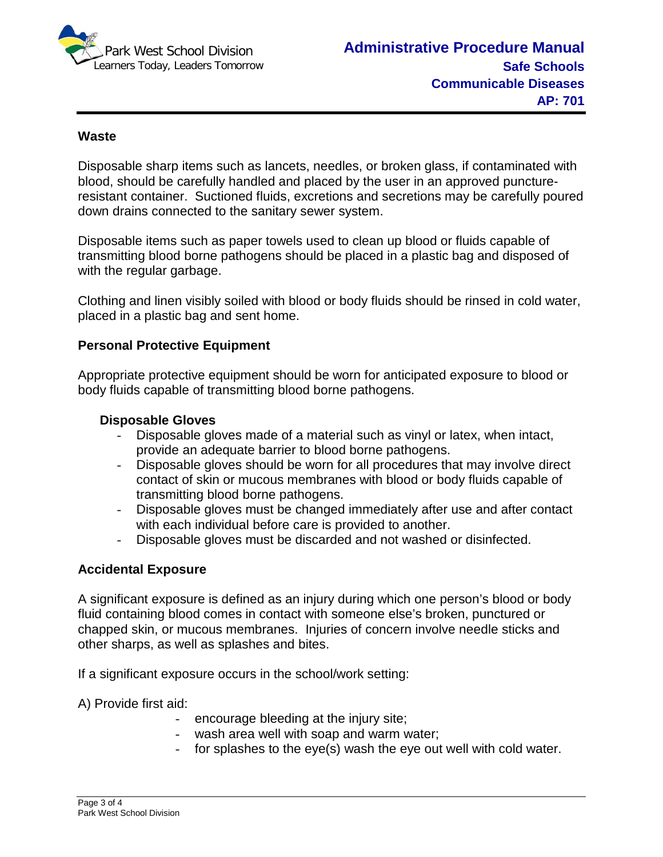

### **Waste**

Disposable sharp items such as lancets, needles, or broken glass, if contaminated with blood, should be carefully handled and placed by the user in an approved punctureresistant container. Suctioned fluids, excretions and secretions may be carefully poured down drains connected to the sanitary sewer system.

Disposable items such as paper towels used to clean up blood or fluids capable of transmitting blood borne pathogens should be placed in a plastic bag and disposed of with the regular garbage.

Clothing and linen visibly soiled with blood or body fluids should be rinsed in cold water, placed in a plastic bag and sent home.

### **Personal Protective Equipment**

Appropriate protective equipment should be worn for anticipated exposure to blood or body fluids capable of transmitting blood borne pathogens.

### **Disposable Gloves**

- Disposable gloves made of a material such as vinyl or latex, when intact, provide an adequate barrier to blood borne pathogens.
- Disposable gloves should be worn for all procedures that may involve direct contact of skin or mucous membranes with blood or body fluids capable of transmitting blood borne pathogens.
- Disposable gloves must be changed immediately after use and after contact with each individual before care is provided to another.
- Disposable gloves must be discarded and not washed or disinfected.

## **Accidental Exposure**

A significant exposure is defined as an injury during which one person's blood or body fluid containing blood comes in contact with someone else's broken, punctured or chapped skin, or mucous membranes. Injuries of concern involve needle sticks and other sharps, as well as splashes and bites.

If a significant exposure occurs in the school/work setting:

A) Provide first aid:

- encourage bleeding at the injury site;
- wash area well with soap and warm water;
- for splashes to the eye(s) wash the eye out well with cold water.